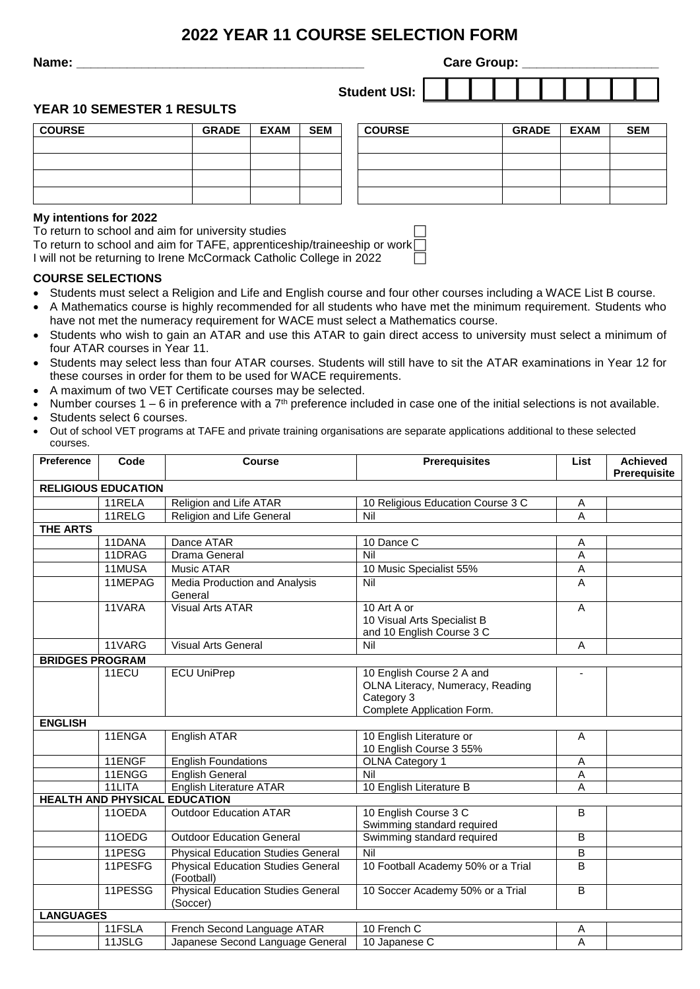# **2022 YEAR 11 COURSE SELECTION FORM**

**Name: Name: Name: Name: Name: Name: Name: Care Group: Care Group: Care Group: Care Group: Care Group: Care Group: Care Group: Care Group: Care Group: Care Group: Care Group: Care Group: Student USI:** 

## **YEAR 10 SEMESTER 1 RESULTS**

| <b>COURSE</b> | <b>GRADE</b> | <b>EXAM</b> | <b>SEM</b> | <b>COURSE</b> | <b>GRADE</b> | <b>EXAM</b> | <b>SEM</b> |
|---------------|--------------|-------------|------------|---------------|--------------|-------------|------------|
|               |              |             |            |               |              |             |            |
|               |              |             |            |               |              |             |            |
|               |              |             |            |               |              |             |            |
|               |              |             |            |               |              |             |            |
|               |              |             |            |               |              |             |            |

#### **My intentions for 2022**

To return to school and aim for university studies

To return to school and aim for TAFE, apprenticeship/traineeship or work I will not be returning to Irene McCormack Catholic College in 2022

### **COURSE SELECTIONS**

- Students must select a Religion and Life and English course and four other courses including a WACE List B course.
- A Mathematics course is highly recommended for all students who have met the minimum requirement. Students who have not met the numeracy requirement for WACE must select a Mathematics course.
- Students who wish to gain an ATAR and use this ATAR to gain direct access to university must select a minimum of four ATAR courses in Year 11.
- Students may select less than four ATAR courses. Students will still have to sit the ATAR examinations in Year 12 for these courses in order for them to be used for WACE requirements.
- A maximum of two VET Certificate courses may be selected.
- Number courses  $1 6$  in preference with a  $7<sup>th</sup>$  preference included in case one of the initial selections is not available.
- Students select 6 courses.
- Out of school VET programs at TAFE and private training organisations are separate applications additional to these selected courses.

| Preference                 | Code    | Course                                                  | <b>Prerequisites</b>                                                                                      | List           | <b>Achieved</b><br>Prerequisite |  |  |  |
|----------------------------|---------|---------------------------------------------------------|-----------------------------------------------------------------------------------------------------------|----------------|---------------------------------|--|--|--|
| <b>RELIGIOUS EDUCATION</b> |         |                                                         |                                                                                                           |                |                                 |  |  |  |
|                            | 11RELA  | Religion and Life ATAR                                  | 10 Religious Education Course 3 C                                                                         | Α              |                                 |  |  |  |
|                            | 11RELG  | <b>Religion and Life General</b>                        | Nil                                                                                                       | A              |                                 |  |  |  |
| <b>THE ARTS</b>            |         |                                                         |                                                                                                           |                |                                 |  |  |  |
|                            | 11DANA  | Dance ATAR                                              | 10 Dance C                                                                                                | A              |                                 |  |  |  |
|                            | 11DRAG  | Drama General                                           | Nil                                                                                                       | A              |                                 |  |  |  |
|                            | 11MUSA  | Music ATAR                                              | 10 Music Specialist 55%                                                                                   | A              |                                 |  |  |  |
|                            | 11MEPAG | Media Production and Analysis<br>General                | Nil                                                                                                       | A              |                                 |  |  |  |
|                            | 11VARA  | <b>Visual Arts ATAR</b>                                 | 10 Art A or<br>10 Visual Arts Specialist B<br>and 10 English Course 3 C                                   | $\overline{A}$ |                                 |  |  |  |
|                            | 11VARG  | <b>Visual Arts General</b>                              | Nil                                                                                                       | A              |                                 |  |  |  |
| <b>BRIDGES PROGRAM</b>     |         |                                                         |                                                                                                           |                |                                 |  |  |  |
|                            | 11ECU   | <b>ECU UniPrep</b>                                      | 10 English Course 2 A and<br>OLNA Literacy, Numeracy, Reading<br>Category 3<br>Complete Application Form. | ٠              |                                 |  |  |  |
| <b>ENGLISH</b>             |         |                                                         |                                                                                                           |                |                                 |  |  |  |
|                            | 11ENGA  | English ATAR                                            | 10 English Literature or<br>10 English Course 3 55%                                                       | A              |                                 |  |  |  |
|                            | 11ENGF  | <b>English Foundations</b>                              | OLNA Category 1                                                                                           | A              |                                 |  |  |  |
|                            | 11ENGG  | <b>English General</b>                                  | Nil                                                                                                       | $\mathsf A$    |                                 |  |  |  |
|                            | 11LITA  | <b>English Literature ATAR</b>                          | 10 English Literature B                                                                                   | A              |                                 |  |  |  |
|                            |         | <b>HEALTH AND PHYSICAL EDUCATION</b>                    |                                                                                                           |                |                                 |  |  |  |
|                            | 11OEDA  | <b>Outdoor Education ATAR</b>                           | 10 English Course 3 C<br>Swimming standard required                                                       | B              |                                 |  |  |  |
|                            | 11OEDG  | <b>Outdoor Education General</b>                        | Swimming standard required                                                                                | B              |                                 |  |  |  |
|                            | 11PESG  | <b>Physical Education Studies General</b>               | Nil                                                                                                       | B              |                                 |  |  |  |
|                            | 11PESFG | <b>Physical Education Studies General</b><br>(Football) | 10 Football Academy 50% or a Trial                                                                        | $\overline{B}$ |                                 |  |  |  |
|                            | 11PESSG | <b>Physical Education Studies General</b><br>(Soccer)   | 10 Soccer Academy 50% or a Trial                                                                          | B              |                                 |  |  |  |
| <b>LANGUAGES</b>           |         |                                                         |                                                                                                           |                |                                 |  |  |  |
|                            | 11FSLA  | French Second Language ATAR                             | 10 French C                                                                                               | A              |                                 |  |  |  |
|                            | 11JSLG  | Japanese Second Language General                        | 10 Japanese C                                                                                             | A              |                                 |  |  |  |

| <b>COURSE</b> | <b>GRADE</b> | <b>EXAM</b> | <b>SEM</b> |
|---------------|--------------|-------------|------------|
|               |              |             |            |
|               |              |             |            |
|               |              |             |            |
|               |              |             |            |